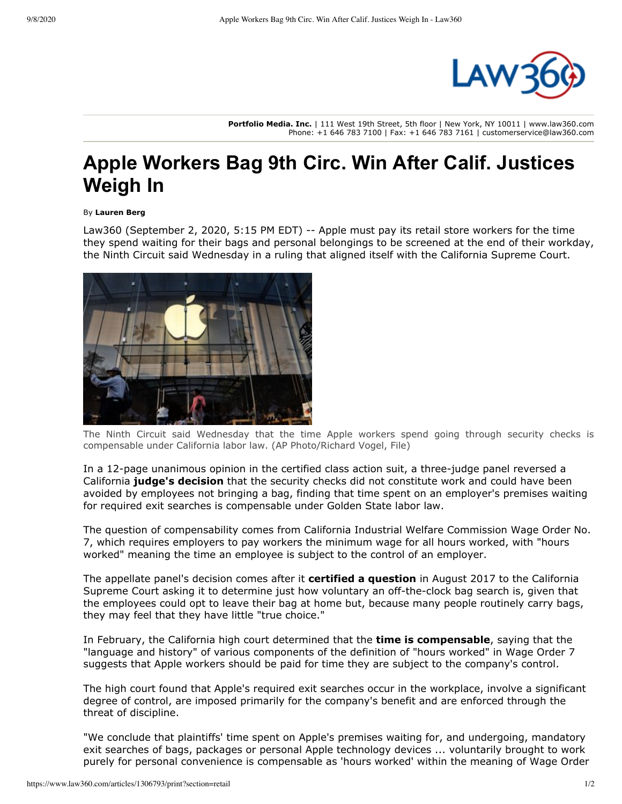

**Portfolio Media. Inc.** | 111 West 19th Street, 5th floor | New York, NY 10011 | www.law360.com Phone: +1 646 783 7100 | Fax: +1 646 783 7161 | customerservice@law360.com

## **Apple Workers Bag 9th Circ. Win After Calif. Justices Weigh In**

## By **Lauren Berg**

Law360 (September 2, 2020, 5:15 PM EDT) -- [Apple](https://www.law360.com/companies/apple-inc) must pay its retail store workers for the time they spend waiting for their bags and personal belongings to be screened at the end of their workday, the Ninth Circuit said Wednesday in a ruling that aligned itself with the [California Supreme Court](https://www.law360.com/agencies/california-supreme-court).



The Ninth Circuit said Wednesday that the time Apple workers spend going through security checks is compensable under California labor law. (AP Photo/Richard Vogel, File)

In a 12-page unanimous opinion in the certified class action suit, a three-judge panel reversed a California **[judge's decision](https://www.law360.com/articles/724801/apple-beats-calif-class-action-over-unpaid-bag-checks)** that the security checks did not constitute work and could have been avoided by employees not bringing a bag, finding that time spent on an employer's premises waiting for required exit searches is compensable under Golden State labor law.

The question of compensability comes from California Industrial Welfare Commission Wage Order No. 7, which requires employers to pay workers the minimum wage for all hours worked, with "hours worked" meaning the time an employee is subject to the control of an employer.

The appellate panel's decision comes after it **[certified a question](https://www.law360.com/articles/954940/9th-circ-asks-calif-court-for-view-on-apple-bag-checks)** in August 2017 to the California Supreme Court asking it to determine just how voluntary an off-the-clock bag search is, given that the employees could opt to leave their bag at home but, because many people routinely carry bags, they may feel that they have little "true choice."

In February, the California high court determined that the **[time is compensable](https://www.law360.com/articles/1243991/apple-owes-pay-for-bag-search-wait-time-calif-justices-say)**, saying that the "language and history" of various components of the definition of "hours worked" in Wage Order 7 suggests that Apple workers should be paid for time they are subject to the company's control.

The high court found that Apple's required exit searches occur in the workplace, involve a significant degree of control, are imposed primarily for the company's benefit and are enforced through the threat of discipline.

"We conclude that plaintiffs' time spent on Apple's premises waiting for, and undergoing, mandatory exit searches of bags, packages or personal Apple technology devices ... voluntarily brought to work purely for personal convenience is compensable as 'hours worked' within the meaning of Wage Order